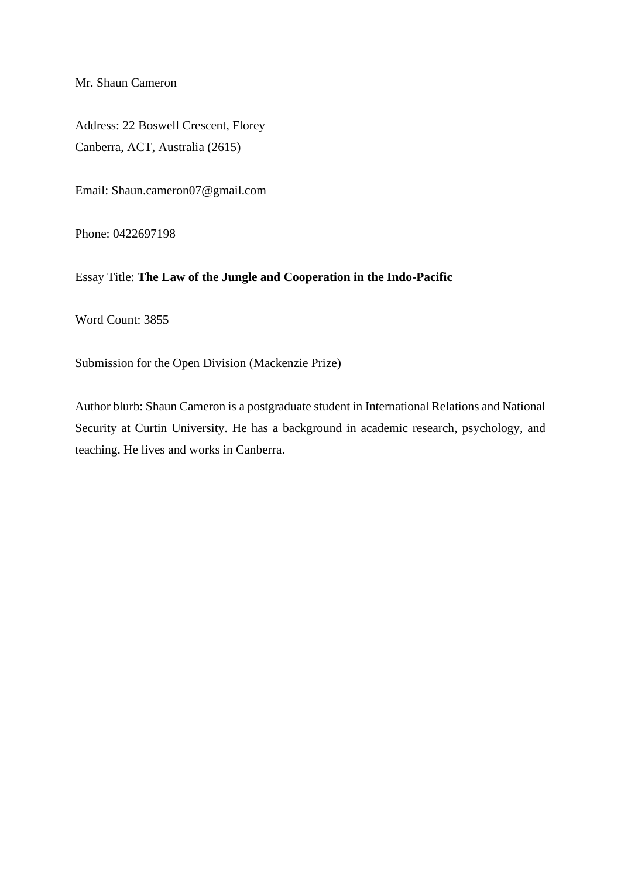Mr. Shaun Cameron

Address: 22 Boswell Crescent, Florey Canberra, ACT, Australia (2615)

Email: Shaun.cameron07@gmail.com

Phone: 0422697198

Essay Title: **The Law of the Jungle and Cooperation in the Indo-Pacific**

Word Count: 3855

Submission for the Open Division (Mackenzie Prize)

Author blurb: Shaun Cameron is a postgraduate student in International Relations and National Security at Curtin University. He has a background in academic research, psychology, and teaching. He lives and works in Canberra.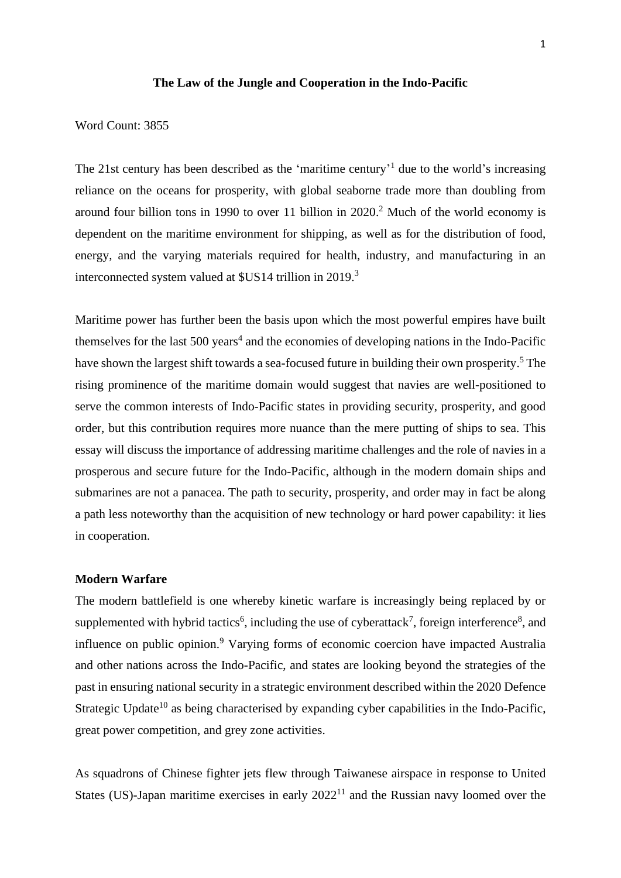#### **The Law of the Jungle and Cooperation in the Indo-Pacific**

Word Count: 3855

The 21st century has been described as the 'maritime century'<sup>1</sup> due to the world's increasing reliance on the oceans for prosperity, with global seaborne trade more than doubling from around four billion tons in 1990 to over 11 billion in 2020. <sup>2</sup> Much of the world economy is dependent on the maritime environment for shipping, as well as for the distribution of food, energy, and the varying materials required for health, industry, and manufacturing in an interconnected system valued at \$US14 trillion in 2019. 3

Maritime power has further been the basis upon which the most powerful empires have built themselves for the last  $500 \text{ years}^4$  and the economies of developing nations in the Indo-Pacific have shown the largest shift towards a sea-focused future in building their own prosperity.<sup>5</sup> The rising prominence of the maritime domain would suggest that navies are well-positioned to serve the common interests of Indo-Pacific states in providing security, prosperity, and good order, but this contribution requires more nuance than the mere putting of ships to sea. This essay will discuss the importance of addressing maritime challenges and the role of navies in a prosperous and secure future for the Indo-Pacific, although in the modern domain ships and submarines are not a panacea. The path to security, prosperity, and order may in fact be along a path less noteworthy than the acquisition of new technology or hard power capability: it lies in cooperation.

#### **Modern Warfare**

The modern battlefield is one whereby kinetic warfare is increasingly being replaced by or supplemented with hybrid tactics<sup>6</sup>, including the use of cyberattack<sup>7</sup>, foreign interference<sup>8</sup>, and influence on public opinion. <sup>9</sup> Varying forms of economic coercion have impacted Australia and other nations across the Indo-Pacific, and states are looking beyond the strategies of the past in ensuring national security in a strategic environment described within the 2020 Defence Strategic Update<sup>10</sup> as being characterised by expanding cyber capabilities in the Indo-Pacific, great power competition, and grey zone activities.

As squadrons of Chinese fighter jets flew through Taiwanese airspace in response to United States (US)-Japan maritime exercises in early  $2022<sup>11</sup>$  and the Russian navy loomed over the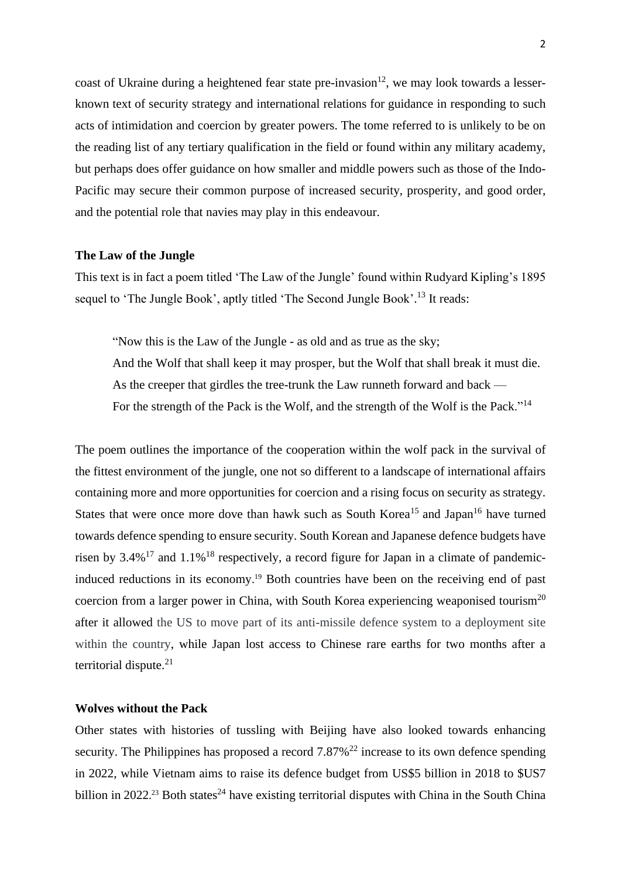coast of Ukraine during a heightened fear state pre-invasion<sup>12</sup>, we may look towards a lesserknown text of security strategy and international relations for guidance in responding to such acts of intimidation and coercion by greater powers. The tome referred to is unlikely to be on the reading list of any tertiary qualification in the field or found within any military academy, but perhaps does offer guidance on how smaller and middle powers such as those of the Indo-Pacific may secure their common purpose of increased security, prosperity, and good order, and the potential role that navies may play in this endeavour.

### **The Law of the Jungle**

This text is in fact a poem titled 'The Law of the Jungle' found within Rudyard Kipling's 1895 sequel to 'The Jungle Book', aptly titled 'The Second Jungle Book'.<sup>13</sup> It reads:

"Now this is the Law of the Jungle - as old and as true as the sky; And the Wolf that shall keep it may prosper, but the Wolf that shall break it must die. As the creeper that girdles the tree-trunk the Law runneth forward and back — For the strength of the Pack is the Wolf, and the strength of the Wolf is the Pack."<sup>14</sup>

The poem outlines the importance of the cooperation within the wolf pack in the survival of the fittest environment of the jungle, one not so different to a landscape of international affairs containing more and more opportunities for coercion and a rising focus on security as strategy. States that were once more dove than hawk such as South Korea<sup>15</sup> and Japan<sup>16</sup> have turned towards defence spending to ensure security. South Korean and Japanese defence budgets have risen by  $3.4\%$ <sup>17</sup> and  $1.1\%$ <sup>18</sup> respectively, a record figure for Japan in a climate of pandemicinduced reductions in its economy. <sup>19</sup> Both countries have been on the receiving end of past coercion from a larger power in China, with South Korea experiencing weaponised tourism<sup>20</sup> after it allowed the US to move part of its anti-missile defence system to a deployment site within the country, while Japan lost access to Chinese rare earths for two months after a territorial dispute.<sup>21</sup>

# **Wolves without the Pack**

Other states with histories of tussling with Beijing have also looked towards enhancing security. The Philippines has proposed a record  $7.87\%$ <sup>22</sup> increase to its own defence spending in 2022, while Vietnam aims to raise its defence budget from US\$5 billion in 2018 to \$US7 billion in 2022.<sup>23</sup> Both states<sup>24</sup> have existing territorial disputes with China in the South China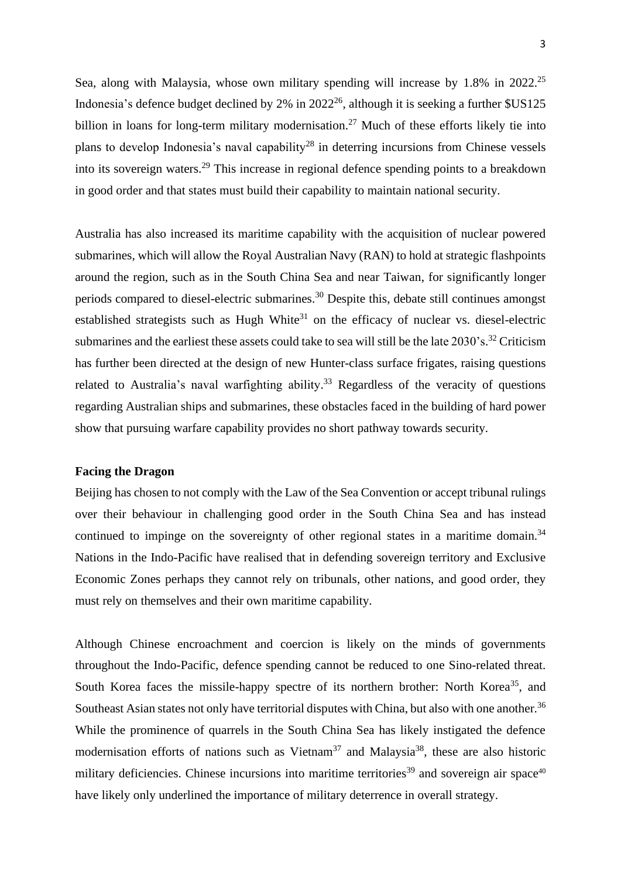Sea, along with Malaysia, whose own military spending will increase by  $1.8\%$  in  $2022^{25}$ Indonesia's defence budget declined by  $2\%$  in  $2022^{26}$ , although it is seeking a further \$US125 billion in loans for long-term military modernisation.<sup>27</sup> Much of these efforts likely tie into plans to develop Indonesia's naval capability<sup>28</sup> in deterring incursions from Chinese vessels into its sovereign waters.<sup>29</sup> This increase in regional defence spending points to a breakdown in good order and that states must build their capability to maintain national security.

Australia has also increased its maritime capability with the acquisition of nuclear powered submarines, which will allow the Royal Australian Navy (RAN) to hold at strategic flashpoints around the region, such as in the South China Sea and near Taiwan, for significantly longer periods compared to diesel-electric submarines.<sup>30</sup> Despite this, debate still continues amongst established strategists such as Hugh White $31$  on the efficacy of nuclear vs. diesel-electric submarines and the earliest these assets could take to sea will still be the late  $2030$ 's.<sup>32</sup> Criticism has further been directed at the design of new Hunter-class surface frigates, raising questions related to Australia's naval warfighting ability.<sup>33</sup> Regardless of the veracity of questions regarding Australian ships and submarines, these obstacles faced in the building of hard power show that pursuing warfare capability provides no short pathway towards security.

#### **Facing the Dragon**

Beijing has chosen to not comply with the Law of the Sea Convention or accept tribunal rulings over their behaviour in challenging good order in the South China Sea and has instead continued to impinge on the sovereignty of other regional states in a maritime domain.<sup>34</sup> Nations in the Indo-Pacific have realised that in defending sovereign territory and Exclusive Economic Zones perhaps they cannot rely on tribunals, other nations, and good order, they must rely on themselves and their own maritime capability.

Although Chinese encroachment and coercion is likely on the minds of governments throughout the Indo-Pacific, defence spending cannot be reduced to one Sino-related threat. South Korea faces the missile-happy spectre of its northern brother: North Korea<sup>35</sup>, and Southeast Asian states not only have territorial disputes with China, but also with one another.<sup>36</sup> While the prominence of quarrels in the South China Sea has likely instigated the defence modernisation efforts of nations such as Vietnam<sup>37</sup> and Malaysia<sup>38</sup>, these are also historic military deficiencies. Chinese incursions into maritime territories<sup>39</sup> and sovereign air space<sup>40</sup> have likely only underlined the importance of military deterrence in overall strategy.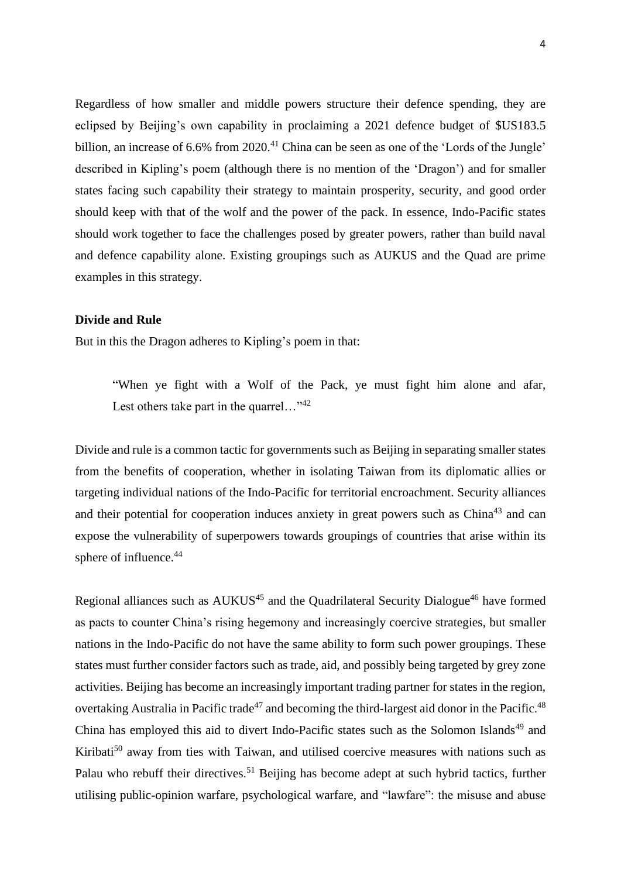Regardless of how smaller and middle powers structure their defence spending, they are eclipsed by Beijing's own capability in proclaiming a 2021 defence budget of \$US183.5 billion, an increase of 6.6% from 2020.<sup>41</sup> China can be seen as one of the 'Lords of the Jungle' described in Kipling's poem (although there is no mention of the 'Dragon') and for smaller states facing such capability their strategy to maintain prosperity, security, and good order should keep with that of the wolf and the power of the pack. In essence, Indo-Pacific states should work together to face the challenges posed by greater powers, rather than build naval and defence capability alone. Existing groupings such as AUKUS and the Quad are prime examples in this strategy.

#### **Divide and Rule**

But in this the Dragon adheres to Kipling's poem in that:

"When ye fight with a Wolf of the Pack, ye must fight him alone and afar, Lest others take part in the quarrel..."<sup>42</sup>

Divide and rule is a common tactic for governments such as Beijing in separating smaller states from the benefits of cooperation, whether in isolating Taiwan from its diplomatic allies or targeting individual nations of the Indo-Pacific for territorial encroachment. Security alliances and their potential for cooperation induces anxiety in great powers such as China<sup>43</sup> and can expose the vulnerability of superpowers towards groupings of countries that arise within its sphere of influence. 44

Regional alliances such as AUKUS<sup>45</sup> and the Quadrilateral Security Dialogue<sup>46</sup> have formed as pacts to counter China's rising hegemony and increasingly coercive strategies, but smaller nations in the Indo-Pacific do not have the same ability to form such power groupings. These states must further consider factors such as trade, aid, and possibly being targeted by grey zone activities. Beijing has become an increasingly important trading partner for states in the region, overtaking Australia in Pacific trade<sup>47</sup> and becoming the third-largest aid donor in the Pacific.<sup>48</sup> China has employed this aid to divert Indo-Pacific states such as the Solomon Islands<sup>49</sup> and Kiribati<sup>50</sup> away from ties with Taiwan, and utilised coercive measures with nations such as Palau who rebuff their directives.<sup>51</sup> Beijing has become adept at such hybrid tactics, further utilising public-opinion warfare, psychological warfare, and "lawfare": the misuse and abuse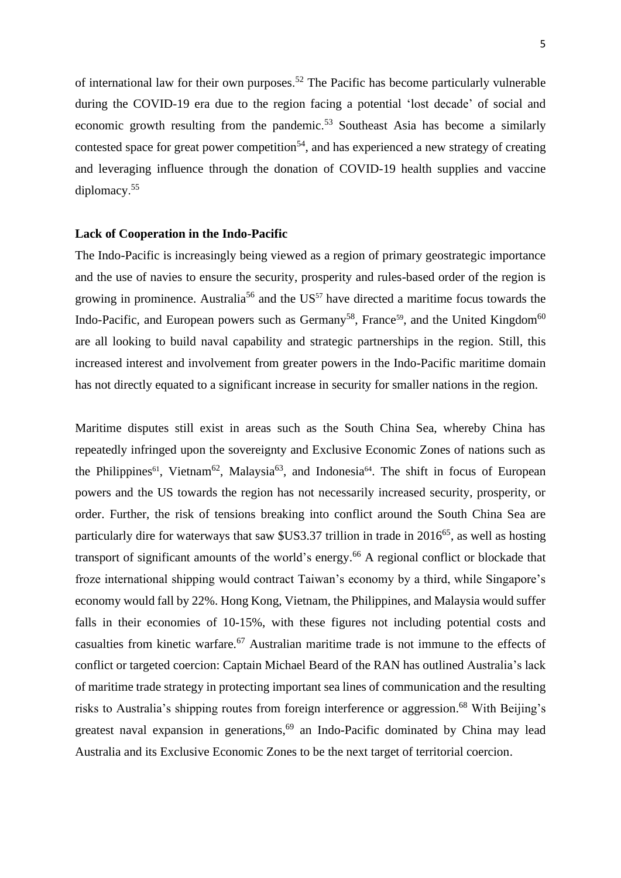of international law for their own purposes.<sup>52</sup> The Pacific has become particularly vulnerable during the COVID-19 era due to the region facing a potential 'lost decade' of social and economic growth resulting from the pandemic. <sup>53</sup> Southeast Asia has become a similarly contested space for great power competition<sup>54</sup>, and has experienced a new strategy of creating and leveraging influence through the donation of COVID-19 health supplies and vaccine diplomacy. 55

#### **Lack of Cooperation in the Indo-Pacific**

The Indo-Pacific is increasingly being viewed as a region of primary geostrategic importance and the use of navies to ensure the security, prosperity and rules-based order of the region is growing in prominence. Australia<sup>56</sup> and the  $US<sup>57</sup>$  have directed a maritime focus towards the Indo-Pacific, and European powers such as Germany<sup>58</sup>, France<sup>59</sup>, and the United Kingdom<sup>60</sup> are all looking to build naval capability and strategic partnerships in the region. Still, this increased interest and involvement from greater powers in the Indo-Pacific maritime domain has not directly equated to a significant increase in security for smaller nations in the region.

Maritime disputes still exist in areas such as the South China Sea, whereby China has repeatedly infringed upon the sovereignty and Exclusive Economic Zones of nations such as the Philippines<sup>61</sup>, Vietnam<sup>62</sup>, Malaysia<sup>63</sup>, and Indonesia<sup>64</sup>. The shift in focus of European powers and the US towards the region has not necessarily increased security, prosperity, or order. Further, the risk of tensions breaking into conflict around the South China Sea are particularly dire for waterways that saw  $\frac{1}{100}$  substitution in trade in 2016<sup>65</sup>, as well as hosting transport of significant amounts of the world's energy. <sup>66</sup> A regional conflict or blockade that froze international shipping would contract Taiwan's economy by a third, while Singapore's economy would fall by 22%. Hong Kong, Vietnam, the Philippines, and Malaysia would suffer falls in their economies of 10-15%, with these figures not including potential costs and casualties from kinetic warfare.<sup>67</sup> Australian maritime trade is not immune to the effects of conflict or targeted coercion: Captain Michael Beard of the RAN has outlined Australia's lack of maritime trade strategy in protecting important sea lines of communication and the resulting risks to Australia's shipping routes from foreign interference or aggression.<sup>68</sup> With Beijing's greatest naval expansion in generations,<sup>69</sup> an Indo-Pacific dominated by China may lead Australia and its Exclusive Economic Zones to be the next target of territorial coercion.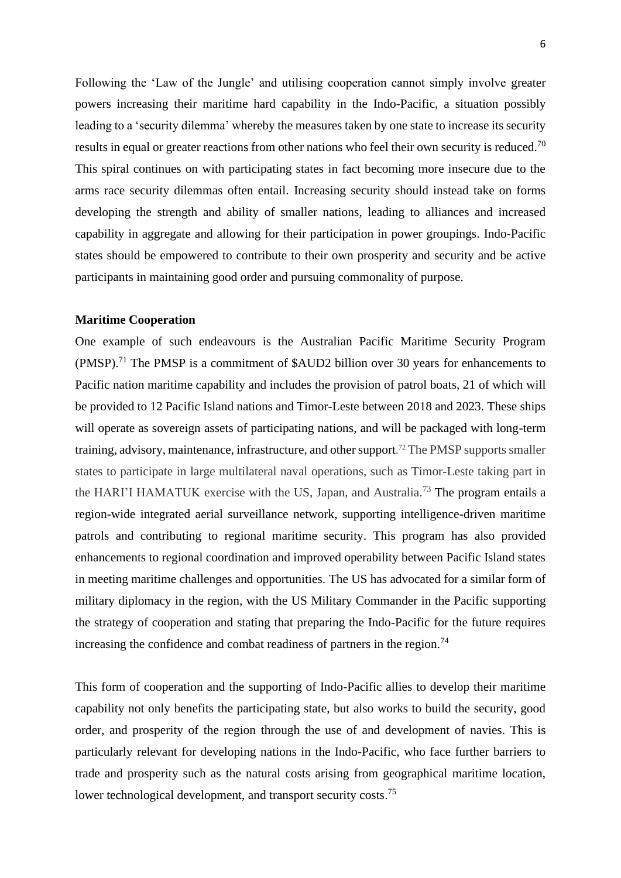Following the 'Law of the Jungle' and utilising cooperation cannot simply involve greater powers increasing their maritime hard capability in the Indo-Pacific, a situation possibly leading to a 'security dilemma' whereby the measures taken by one state to increase its security results in equal or greater reactions from other nations who feel their own security is reduced.<sup>70</sup> This spiral continues on with participating states in fact becoming more insecure due to the arms race security dilemmas often entail. Increasing security should instead take on forms developing the strength and ability of smaller nations, leading to alliances and increased capability in aggregate and allowing for their participation in power groupings. Indo-Pacific states should be empowered to contribute to their own prosperity and security and be active participants in maintaining good order and pursuing commonality of purpose.

### **Maritime Cooperation**

One example of such endeavours is the Australian Pacific Maritime Security Program (PMSP).<sup>71</sup> The PMSP is a commitment of \$AUD2 billion over 30 years for enhancements to Pacific nation maritime capability and includes the provision of patrol boats, 21 of which will be provided to 12 Pacific Island nations and Timor-Leste between 2018 and 2023. These ships will operate as sovereign assets of participating nations, and will be packaged with long-term training, advisory, maintenance, infrastructure, and other support. <sup>72</sup> The PMSP supports smaller states to participate in large multilateral naval operations, such as Timor-Leste taking part in the HARI'I HAMATUK exercise with the US, Japan, and Australia.<sup>73</sup> The program entails a region-wide integrated aerial surveillance network, supporting intelligence-driven maritime patrols and contributing to regional maritime security. This program has also provided enhancements to regional coordination and improved operability between Pacific Island states in meeting maritime challenges and opportunities. The US has advocated for a similar form of military diplomacy in the region, with the US Military Commander in the Pacific supporting the strategy of cooperation and stating that preparing the Indo-Pacific for the future requires increasing the confidence and combat readiness of partners in the region.<sup>74</sup>

This form of cooperation and the supporting of Indo-Pacific allies to develop their maritime capability not only benefits the participating state, but also works to build the security, good order, and prosperity of the region through the use of and development of navies. This is particularly relevant for developing nations in the Indo-Pacific, who face further barriers to trade and prosperity such as the natural costs arising from geographical maritime location, lower technological development, and transport security costs.<sup>75</sup>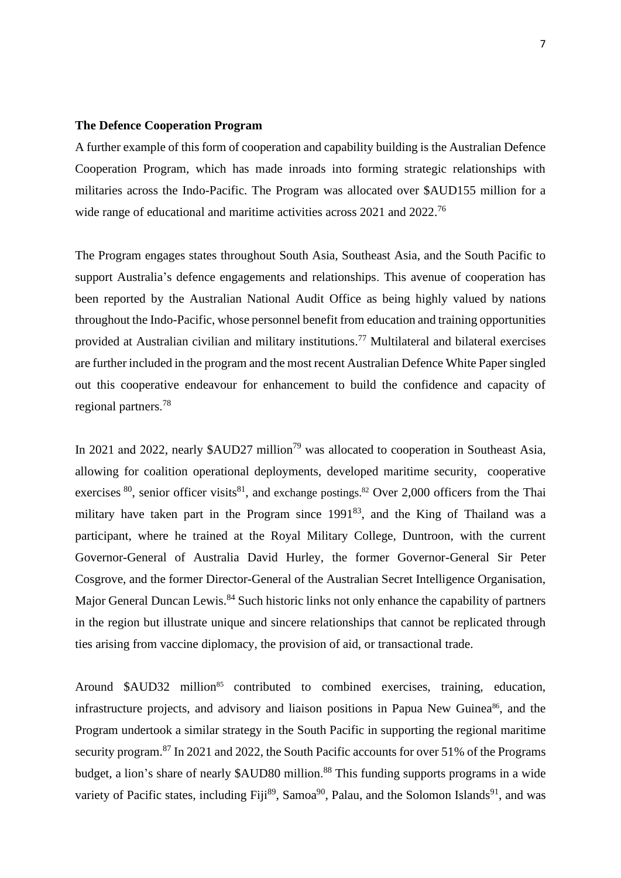#### **The Defence Cooperation Program**

A further example of this form of cooperation and capability building is the Australian Defence Cooperation Program, which has made inroads into forming strategic relationships with militaries across the Indo-Pacific. The Program was allocated over \$AUD155 million for a wide range of educational and maritime activities across 2021 and 2022.<sup>76</sup>

The Program engages states throughout South Asia, Southeast Asia, and the South Pacific to support Australia's defence engagements and relationships. This avenue of cooperation has been reported by the Australian National Audit Office as being highly valued by nations throughout the Indo-Pacific, whose personnel benefit from education and training opportunities provided at Australian civilian and military institutions.<sup>77</sup> Multilateral and bilateral exercises are further included in the program and the most recent Australian Defence White Paper singled out this cooperative endeavour for enhancement to build the confidence and capacity of regional partners. 78

In 2021 and 2022, nearly  $$AUD27$  million<sup>79</sup> was allocated to cooperation in Southeast Asia, allowing for coalition operational deployments, developed maritime security, cooperative exercises  $80$ , senior officer visits  $81$ , and exchange postings.  $82$  Over 2,000 officers from the Thai military have taken part in the Program since  $1991^{83}$ , and the King of Thailand was a participant, where he trained at the Royal Military College, Duntroon, with the current Governor-General of Australia David Hurley, the former Governor-General Sir Peter Cosgrove, and the former Director-General of the Australian Secret Intelligence Organisation, Major General Duncan Lewis.<sup>84</sup> Such historic links not only enhance the capability of partners in the region but illustrate unique and sincere relationships that cannot be replicated through ties arising from vaccine diplomacy, the provision of aid, or transactional trade.

Around \$AUD32 million<sup>85</sup> contributed to combined exercises, training, education, infrastructure projects, and advisory and liaison positions in Papua New Guinea<sup>86</sup>, and the Program undertook a similar strategy in the South Pacific in supporting the regional [maritime](https://www.defence.gov.au/programs-initiatives/pacific-engagement/maritime-capability)  [security program.](https://www.defence.gov.au/programs-initiatives/pacific-engagement/maritime-capability)<sup>87</sup> In 2021 and 2022, the South Pacific accounts for over 51% of the Programs budget, a lion's share of nearly \$AUD80 million.<sup>88</sup> This funding supports programs in a wide variety of Pacific states, including Fiji<sup>89</sup>, Samoa<sup>90</sup>, Palau, and the [Solomon Islands](https://solomonislands.embassy.gov.au/honi/120509120509.html)<sup>91</sup>, and was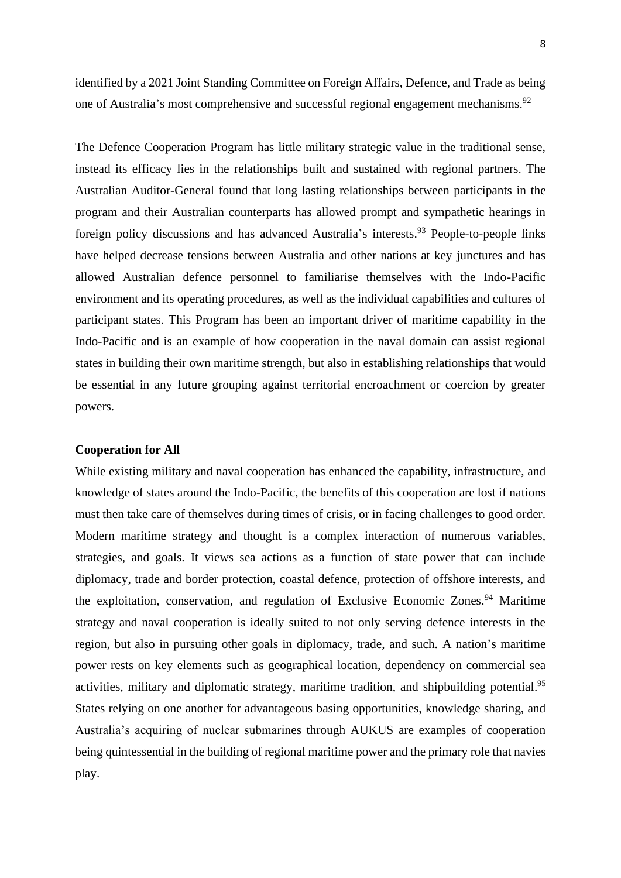identified by a 2021 Joint Standing Committee on Foreign Affairs, Defence, and Trade as being one of Australia's most comprehensive and successful regional engagement mechanisms.<sup>92</sup>

The Defence Cooperation Program has little military strategic value in the traditional sense, instead its efficacy lies in the relationships built and sustained with regional partners. The Australian Auditor-General found that long lasting relationships between participants in the program and their Australian counterparts has allowed prompt and sympathetic hearings in foreign policy discussions and has advanced Australia's interests.<sup>93</sup> People-to-people links have helped decrease tensions between Australia and other nations at key junctures and has allowed Australian defence personnel to familiarise themselves with the Indo-Pacific environment and its operating procedures, as well as the individual capabilities and cultures of participant states. This Program has been an important driver of maritime capability in the Indo-Pacific and is an example of how cooperation in the naval domain can assist regional states in building their own maritime strength, but also in establishing relationships that would be essential in any future grouping against territorial encroachment or coercion by greater powers.

# **Cooperation for All**

While existing military and naval cooperation has enhanced the capability, infrastructure, and knowledge of states around the Indo-Pacific, the benefits of this cooperation are lost if nations must then take care of themselves during times of crisis, or in facing challenges to good order. Modern maritime strategy and thought is a complex interaction of numerous variables, strategies, and goals. It views sea actions as a function of state power that can include diplomacy, trade and border protection, coastal defence, protection of offshore interests, and the exploitation, conservation, and regulation of Exclusive Economic Zones.<sup>94</sup> Maritime strategy and naval cooperation is ideally suited to not only serving defence interests in the region, but also in pursuing other goals in diplomacy, trade, and such. A nation's maritime power rests on key elements such as geographical location, dependency on commercial sea activities, military and diplomatic strategy, maritime tradition, and shipbuilding potential.<sup>95</sup> States relying on one another for advantageous basing opportunities, knowledge sharing, and Australia's acquiring of nuclear submarines through AUKUS are examples of cooperation being quintessential in the building of regional maritime power and the primary role that navies play.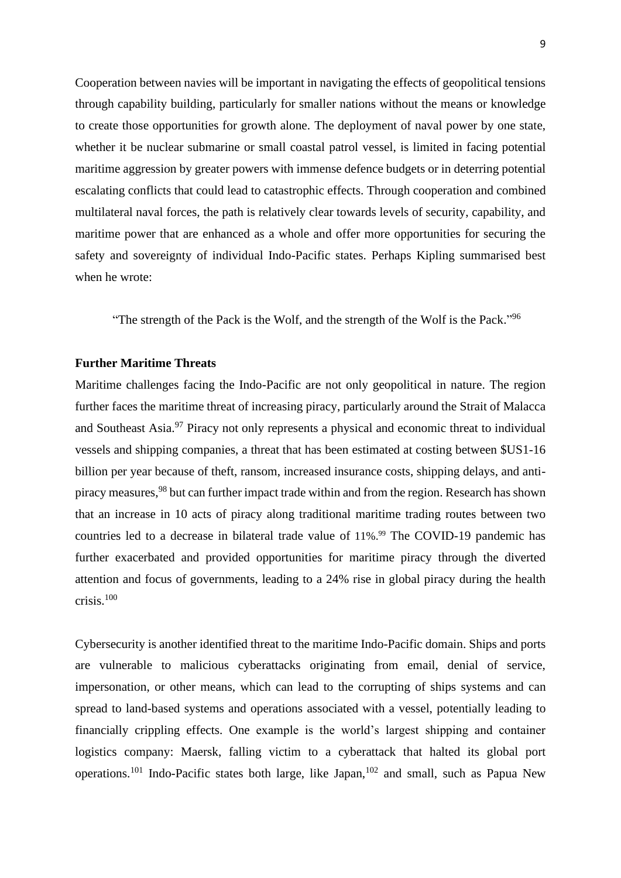Cooperation between navies will be important in navigating the effects of geopolitical tensions through capability building, particularly for smaller nations without the means or knowledge to create those opportunities for growth alone. The deployment of naval power by one state, whether it be nuclear submarine or small coastal patrol vessel, is limited in facing potential maritime aggression by greater powers with immense defence budgets or in deterring potential escalating conflicts that could lead to catastrophic effects. Through cooperation and combined multilateral naval forces, the path is relatively clear towards levels of security, capability, and maritime power that are enhanced as a whole and offer more opportunities for securing the safety and sovereignty of individual Indo-Pacific states. Perhaps Kipling summarised best when he wrote:

"The strength of the Pack is the Wolf, and the strength of the Wolf is the Pack."<sup>96</sup>

# **Further Maritime Threats**

Maritime challenges facing the Indo-Pacific are not only geopolitical in nature. The region further faces the maritime threat of increasing piracy, particularly around the Strait of Malacca and Southeast Asia.<sup>97</sup> Piracy not only represents a physical and economic threat to individual vessels and shipping companies, a threat that has been estimated at costing between \$US1-16 billion per year because of theft, ransom, increased insurance costs, shipping delays, and antipiracy measures,<sup>98</sup> but can further impact trade within and from the region. Research has shown that an increase in 10 acts of piracy along traditional maritime trading routes between two countries led to a decrease in bilateral trade value of 11%.<sup>99</sup> The COVID-19 pandemic has further exacerbated and provided opportunities for maritime piracy through the diverted attention and focus of governments, leading to a 24% rise in global piracy during the health crisis.<sup>100</sup>

Cybersecurity is another identified threat to the maritime Indo-Pacific domain. Ships and ports are vulnerable to malicious cyberattacks originating from email, denial of service, impersonation, or other means, which can lead to the corrupting of ships systems and can spread to land-based systems and operations associated with a vessel, potentially leading to financially crippling effects. One example is the world's largest shipping and container logistics company: Maersk, falling victim to a cyberattack that halted its global port operations.<sup>101</sup> Indo-Pacific states both large, like Japan,<sup>102</sup> and small, such as Papua New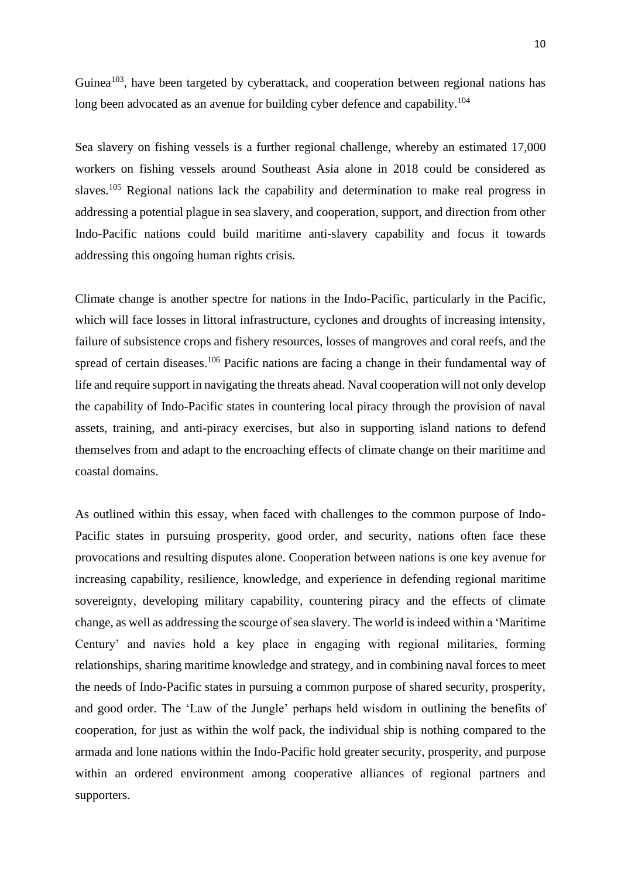Guinea<sup>103</sup>, have been targeted by cyberattack, and cooperation between regional nations has long been advocated as an avenue for building cyber defence and capability.<sup>104</sup>

Sea slavery on fishing vessels is a further regional challenge, whereby an estimated 17,000 workers on fishing vessels around Southeast Asia alone in 2018 could be considered as slaves.<sup>105</sup> Regional nations lack the capability and determination to make real progress in addressing a potential plague in sea slavery, and cooperation, support, and direction from other Indo-Pacific nations could build maritime anti-slavery capability and focus it towards addressing this ongoing human rights crisis.

Climate change is another spectre for nations in the Indo-Pacific, particularly in the Pacific, which will face losses in littoral infrastructure, cyclones and droughts of increasing intensity, failure of subsistence crops and fishery resources, losses of mangroves and coral reefs, and the spread of certain diseases.<sup>106</sup> Pacific nations are facing a change in their fundamental way of life and require support in navigating the threats ahead. Naval cooperation will not only develop the capability of Indo-Pacific states in countering local piracy through the provision of naval assets, training, and anti-piracy exercises, but also in supporting island nations to defend themselves from and adapt to the encroaching effects of climate change on their maritime and coastal domains.

As outlined within this essay, when faced with challenges to the common purpose of Indo-Pacific states in pursuing prosperity, good order, and security, nations often face these provocations and resulting disputes alone. Cooperation between nations is one key avenue for increasing capability, resilience, knowledge, and experience in defending regional maritime sovereignty, developing military capability, countering piracy and the effects of climate change, as well as addressing the scourge of sea slavery. The world is indeed within a 'Maritime Century' and navies hold a key place in engaging with regional militaries, forming relationships, sharing maritime knowledge and strategy, and in combining naval forces to meet the needs of Indo-Pacific states in pursuing a common purpose of shared security, prosperity, and good order. The 'Law of the Jungle' perhaps held wisdom in outlining the benefits of cooperation, for just as within the wolf pack, the individual ship is nothing compared to the armada and lone nations within the Indo-Pacific hold greater security, prosperity, and purpose within an ordered environment among cooperative alliances of regional partners and supporters.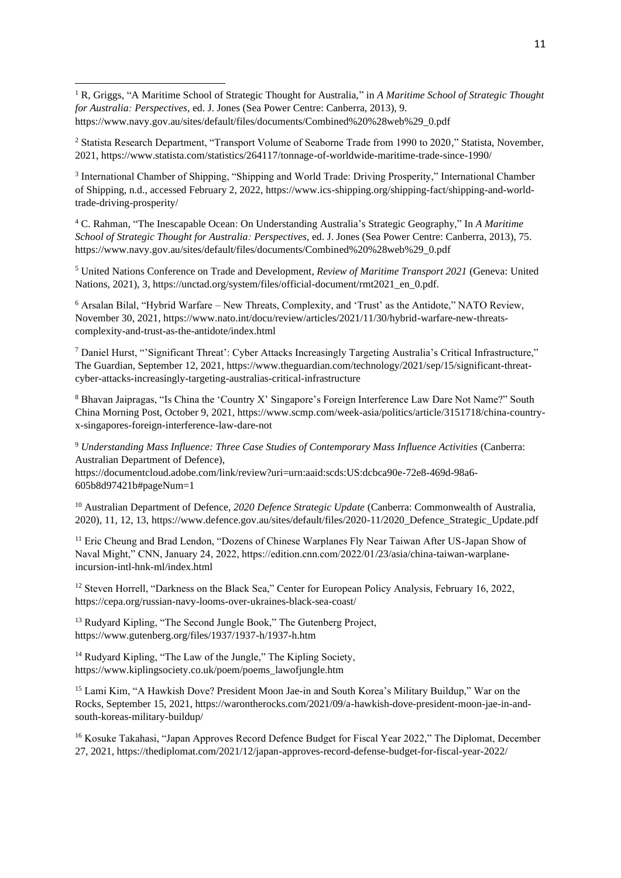<sup>1</sup> R, Griggs, "A Maritime School of Strategic Thought for Australia," in *A Maritime School of Strategic Thought for Australia: Perspectives,* ed. J. Jones (Sea Power Centre: Canberra, 2013), 9. https://www.navy.gov.au/sites/default/files/documents/Combined%20%28web%29\_0.pdf

<sup>2</sup> Statista Research Department, "Transport Volume of Seaborne Trade from 1990 to 2020," Statista, November, 2021, https://www.statista.com/statistics/264117/tonnage-of-worldwide-maritime-trade-since-1990/

3 International Chamber of Shipping, "Shipping and World Trade: Driving Prosperity," International Chamber of Shipping, n.d., accessed February 2, 2022, https://www.ics-shipping.org/shipping-fact/shipping-and-worldtrade-driving-prosperity/

<sup>4</sup> C. Rahman, "The Inescapable Ocean: On Understanding Australia's Strategic Geography," In *A Maritime School of Strategic Thought for Australia: Perspectives,* ed. J. Jones (Sea Power Centre: Canberra, 2013), 75. https://www.navy.gov.au/sites/default/files/documents/Combined%20%28web%29\_0.pdf

<sup>5</sup> United Nations Conference on Trade and Development, *Review of Maritime Transport 2021* (Geneva: United Nations, 2021), 3, https://unctad.org/system/files/official-document/rmt2021\_en\_0.pdf.

<sup>6</sup> Arsalan Bilal, "Hybrid Warfare – New Threats, Complexity, and 'Trust' as the Antidote," NATO Review, November 30, 2021, https://www.nato.int/docu/review/articles/2021/11/30/hybrid-warfare-new-threatscomplexity-and-trust-as-the-antidote/index.html

<sup>7</sup> Daniel Hurst, "'Significant Threat': Cyber Attacks Increasingly Targeting Australia's Critical Infrastructure," The Guardian, September 12, 2021, https://www.theguardian.com/technology/2021/sep/15/significant-threatcyber-attacks-increasingly-targeting-australias-critical-infrastructure

<sup>8</sup> Bhavan Jaipragas, "Is China the 'Country X' Singapore's Foreign Interference Law Dare Not Name?" South China Morning Post, October 9, 2021, https://www.scmp.com/week-asia/politics/article/3151718/china-countryx-singapores-foreign-interference-law-dare-not

<sup>9</sup> *Understanding Mass Influence: Three Case Studies of Contemporary Mass Influence Activities* (Canberra: Australian Department of Defence), https://documentcloud.adobe.com/link/review?uri=urn:aaid:scds:US:dcbca90e-72e8-469d-98a6-

605b8d97421b#pageNum=1

<sup>10</sup> Australian Department of Defence, *2020 Defence Strategic Update* (Canberra: Commonwealth of Australia, 2020), 11, 12, 13, https://www.defence.gov.au/sites/default/files/2020-11/2020\_Defence\_Strategic\_Update.pdf

<sup>11</sup> Eric Cheung and Brad Lendon, "Dozens of Chinese Warplanes Fly Near Taiwan After US-Japan Show of Naval Might," CNN, January 24, 2022, https://edition.cnn.com/2022/01/23/asia/china-taiwan-warplaneincursion-intl-hnk-ml/index.html

<sup>12</sup> Steven Horrell, "Darkness on the Black Sea," Center for European Policy Analysis, February 16, 2022, https://cepa.org/russian-navy-looms-over-ukraines-black-sea-coast/

<sup>13</sup> Rudyard Kipling, "The Second Jungle Book," The Gutenberg Project, https://www.gutenberg.org/files/1937/1937-h/1937-h.htm

<sup>14</sup> Rudyard Kipling, "The Law of the Jungle," The Kipling Society, https://www.kiplingsociety.co.uk/poem/poems\_lawofjungle.htm

<sup>15</sup> Lami Kim, "A Hawkish Dove? President Moon Jae-in and South Korea's Military Buildup," War on the Rocks, September 15, 2021, https://warontherocks.com/2021/09/a-hawkish-dove-president-moon-jae-in-andsouth-koreas-military-buildup/

<sup>16</sup> Kosuke Takahasi, "Japan Approves Record Defence Budget for Fiscal Year 2022," The Diplomat, December 27, 2021, https://thediplomat.com/2021/12/japan-approves-record-defense-budget-for-fiscal-year-2022/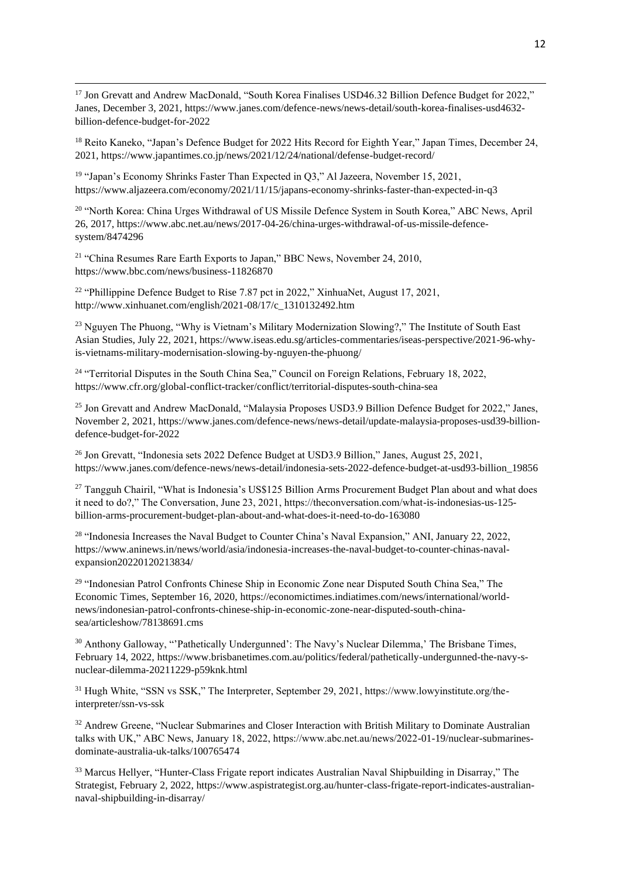<sup>17</sup> Jon Grevatt and Andrew MacDonald, "South Korea Finalises USD46.32 Billion Defence Budget for 2022," Janes, December 3, 2021, https://www.janes.com/defence-news/news-detail/south-korea-finalises-usd4632 billion-defence-budget-for-2022

<sup>18</sup> Reito Kaneko, "Japan's Defence Budget for 2022 Hits Record for Eighth Year," Japan Times, December 24, 2021, https://www.japantimes.co.jp/news/2021/12/24/national/defense-budget-record/

<sup>19</sup> "Japan's Economy Shrinks Faster Than Expected in Q3," Al Jazeera, November 15, 2021, https://www.aljazeera.com/economy/2021/11/15/japans-economy-shrinks-faster-than-expected-in-q3

<sup>20</sup> "North Korea: China Urges Withdrawal of US Missile Defence System in South Korea," ABC News, April 26, 2017, https://www.abc.net.au/news/2017-04-26/china-urges-withdrawal-of-us-missile-defencesystem/8474296

<sup>21</sup> "China Resumes Rare Earth Exports to Japan," BBC News, November 24, 2010, https://www.bbc.com/news/business-11826870

<sup>22</sup> "Phillippine Defence Budget to Rise 7.87 pct in 2022," XinhuaNet, August 17, 2021, http://www.xinhuanet.com/english/2021-08/17/c\_1310132492.htm

<sup>23</sup> Nguyen The Phuong, "Why is Vietnam's Military Modernization Slowing?," The Institute of South East Asian Studies, July 22, 2021, https://www.iseas.edu.sg/articles-commentaries/iseas-perspective/2021-96-whyis-vietnams-military-modernisation-slowing-by-nguyen-the-phuong/

<sup>24</sup> "Territorial Disputes in the South China Sea," Council on Foreign Relations, February 18, 2022, https://www.cfr.org/global-conflict-tracker/conflict/territorial-disputes-south-china-sea

<sup>25</sup> Jon Grevatt and Andrew MacDonald, "Malaysia Proposes USD3.9 Billion Defence Budget for 2022," Janes, November 2, 2021, https://www.janes.com/defence-news/news-detail/update-malaysia-proposes-usd39-billiondefence-budget-for-2022

<sup>26</sup> Jon Grevatt, "Indonesia sets 2022 Defence Budget at USD3.9 Billion," Janes, August 25, 2021, https://www.janes.com/defence-news/news-detail/indonesia-sets-2022-defence-budget-at-usd93-billion\_19856

<sup>27</sup> Tangguh Chairil, "What is Indonesia's US\$125 Billion Arms Procurement Budget Plan about and what does it need to do?," The Conversation, June 23, 2021, https://theconversation.com/what-is-indonesias-us-125 billion-arms-procurement-budget-plan-about-and-what-does-it-need-to-do-163080

<sup>28</sup> "Indonesia Increases the Naval Budget to Counter China's Naval Expansion," ANI, January 22, 2022, https://www.aninews.in/news/world/asia/indonesia-increases-the-naval-budget-to-counter-chinas-navalexpansion20220120213834/

<sup>29</sup> "Indonesian Patrol Confronts Chinese Ship in Economic Zone near Disputed South China Sea," The Economic Times, September 16, 2020, https://economictimes.indiatimes.com/news/international/worldnews/indonesian-patrol-confronts-chinese-ship-in-economic-zone-near-disputed-south-chinasea/articleshow/78138691.cms

<sup>30</sup> Anthony Galloway, "'Pathetically Undergunned': The Navy's Nuclear Dilemma,' The Brisbane Times, February 14, 2022, https://www.brisbanetimes.com.au/politics/federal/pathetically-undergunned-the-navy-snuclear-dilemma-20211229-p59knk.html

<sup>31</sup> Hugh White, "SSN vs SSK," The Interpreter, September 29, 2021, https://www.lowyinstitute.org/theinterpreter/ssn-vs-ssk

<sup>32</sup> Andrew Greene, "Nuclear Submarines and Closer Interaction with British Military to Dominate Australian talks with UK," ABC News, January 18, 2022, https://www.abc.net.au/news/2022-01-19/nuclear-submarinesdominate-australia-uk-talks/100765474

<sup>33</sup> Marcus Hellyer, "Hunter-Class Frigate report indicates Australian Naval Shipbuilding in Disarray," The Strategist, February 2, 2022, https://www.aspistrategist.org.au/hunter-class-frigate-report-indicates-australiannaval-shipbuilding-in-disarray/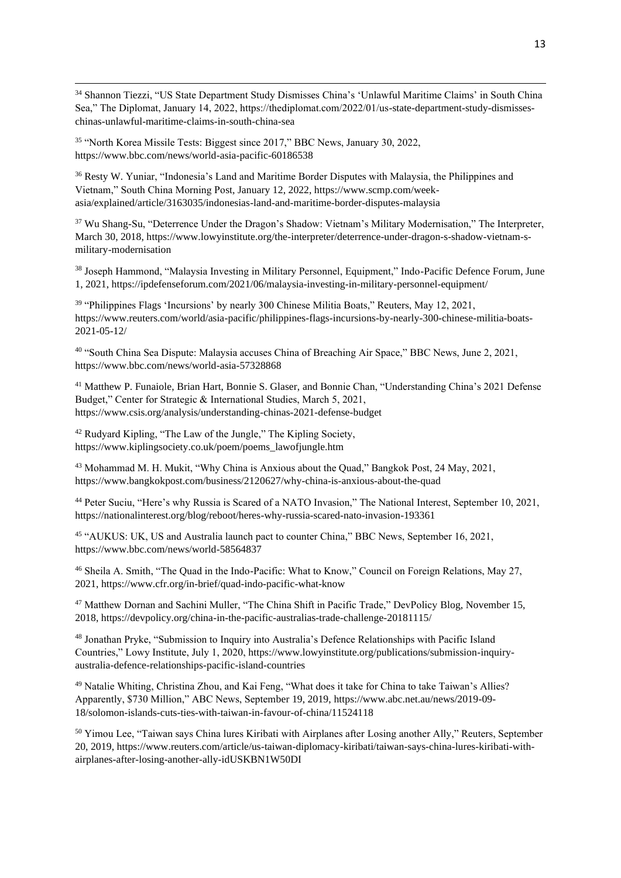<sup>34</sup> Shannon Tiezzi, "US State Department Study Dismisses China's 'Unlawful Maritime Claims' in South China Sea," The Diplomat, January 14, 2022, https://thediplomat.com/2022/01/us-state-department-study-dismisseschinas-unlawful-maritime-claims-in-south-china-sea

<sup>35</sup> "North Korea Missile Tests: Biggest since 2017," BBC News, January 30, 2022, https://www.bbc.com/news/world-asia-pacific-60186538

<sup>36</sup> Resty W. Yuniar, "Indonesia's Land and Maritime Border Disputes with Malaysia, the Philippines and Vietnam," South China Morning Post, January 12, 2022, https://www.scmp.com/weekasia/explained/article/3163035/indonesias-land-and-maritime-border-disputes-malaysia

<sup>37</sup> Wu Shang-Su, "Deterrence Under the Dragon's Shadow: Vietnam's Military Modernisation," The Interpreter, March 30, 2018, https://www.lowyinstitute.org/the-interpreter/deterrence-under-dragon-s-shadow-vietnam-smilitary-modernisation

<sup>38</sup> Joseph Hammond, "Malaysia Investing in Military Personnel, Equipment," Indo-Pacific Defence Forum, June 1, 2021, https://ipdefenseforum.com/2021/06/malaysia-investing-in-military-personnel-equipment/

<sup>39</sup> "Philippines Flags 'Incursions' by nearly 300 Chinese Militia Boats," Reuters, May 12, 2021, https://www.reuters.com/world/asia-pacific/philippines-flags-incursions-by-nearly-300-chinese-militia-boats-2021-05-12/

<sup>40</sup> "South China Sea Dispute: Malaysia accuses China of Breaching Air Space," BBC News, June 2, 2021, https://www.bbc.com/news/world-asia-57328868

<sup>41</sup> Matthew P. Funaiole, Brian Hart, Bonnie S. Glaser, and Bonnie Chan, "Understanding China's 2021 Defense Budget," Center for Strategic & International Studies, March 5, 2021, https://www.csis.org/analysis/understanding-chinas-2021-defense-budget

<sup>42</sup> Rudyard Kipling, "The Law of the Jungle," The Kipling Society, https://www.kiplingsociety.co.uk/poem/poems\_lawofjungle.htm

<sup>43</sup> Mohammad M. H. Mukit, "Why China is Anxious about the Quad," Bangkok Post, 24 May, 2021, https://www.bangkokpost.com/business/2120627/why-china-is-anxious-about-the-quad

<sup>44</sup> Peter Suciu, "Here's why Russia is Scared of a NATO Invasion," The National Interest, September 10, 2021, https://nationalinterest.org/blog/reboot/heres-why-russia-scared-nato-invasion-193361

<sup>45</sup> "AUKUS: UK, US and Australia launch pact to counter China," BBC News, September 16, 2021, https://www.bbc.com/news/world-58564837

<sup>46</sup> Sheila A. Smith, "The Quad in the Indo-Pacific: What to Know," Council on Foreign Relations, May 27, 2021, https://www.cfr.org/in-brief/quad-indo-pacific-what-know

<sup>47</sup> Matthew Dornan and Sachini Muller, "The China Shift in Pacific Trade," DevPolicy Blog, November 15, 2018, https://devpolicy.org/china-in-the-pacific-australias-trade-challenge-20181115/

<sup>48</sup> Jonathan Pryke, "Submission to Inquiry into Australia's Defence Relationships with Pacific Island Countries," Lowy Institute, July 1, 2020, https://www.lowyinstitute.org/publications/submission-inquiryaustralia-defence-relationships-pacific-island-countries

<sup>49</sup> Natalie Whiting, Christina Zhou, and Kai Feng, "What does it take for China to take Taiwan's Allies? Apparently, \$730 Million," ABC News, September 19, 2019, https://www.abc.net.au/news/2019-09- 18/solomon-islands-cuts-ties-with-taiwan-in-favour-of-china/11524118

<sup>50</sup> Yimou Lee, "Taiwan says China lures Kiribati with Airplanes after Losing another Ally," Reuters, September 20, 2019, https://www.reuters.com/article/us-taiwan-diplomacy-kiribati/taiwan-says-china-lures-kiribati-withairplanes-after-losing-another-ally-idUSKBN1W50DI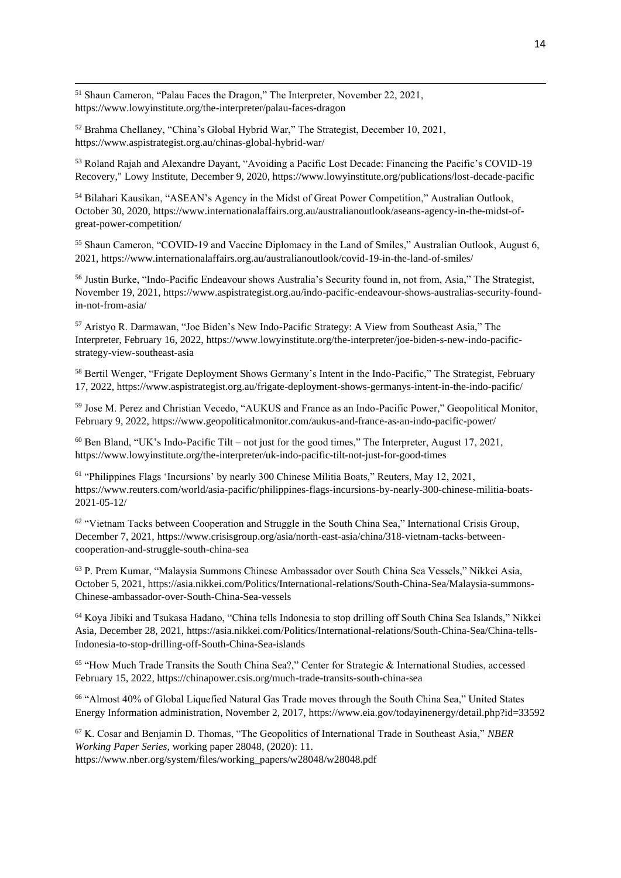<sup>51</sup> Shaun Cameron, "Palau Faces the Dragon," The Interpreter, November 22, 2021, https://www.lowyinstitute.org/the-interpreter/palau-faces-dragon

<sup>52</sup> Brahma Chellaney, "China's Global Hybrid War," The Strategist, December 10, 2021, https://www.aspistrategist.org.au/chinas-global-hybrid-war/

<sup>53</sup> Roland Rajah and Alexandre Dayant, "Avoiding a Pacific Lost Decade: Financing the Pacific's COVID-19 Recovery," Lowy Institute, December 9, 2020, https://www.lowyinstitute.org/publications/lost-decade-pacific

<sup>54</sup> Bilahari Kausikan, "ASEAN's Agency in the Midst of Great Power Competition," Australian Outlook, October 30, 2020, https://www.internationalaffairs.org.au/australianoutlook/aseans-agency-in-the-midst-ofgreat-power-competition/

<sup>55</sup> Shaun Cameron, "COVID-19 and Vaccine Diplomacy in the Land of Smiles," Australian Outlook, August 6, 2021, https://www.internationalaffairs.org.au/australianoutlook/covid-19-in-the-land-of-smiles/

<sup>56</sup> Justin Burke, "Indo-Pacific Endeavour shows Australia's Security found in, not from, Asia," The Strategist, November 19, 2021, https://www.aspistrategist.org.au/indo-pacific-endeavour-shows-australias-security-foundin-not-from-asia/

<sup>57</sup> Aristyo R. Darmawan, "Joe Biden's New Indo-Pacific Strategy: A View from Southeast Asia," The Interpreter, February 16, 2022, https://www.lowyinstitute.org/the-interpreter/joe-biden-s-new-indo-pacificstrategy-view-southeast-asia

<sup>58</sup> Bertil Wenger, "Frigate Deployment Shows Germany's Intent in the Indo-Pacific," The Strategist, February 17, 2022, https://www.aspistrategist.org.au/frigate-deployment-shows-germanys-intent-in-the-indo-pacific/

<sup>59</sup> Jose M. Perez and Christian Vecedo, "AUKUS and France as an Indo-Pacific Power," Geopolitical Monitor, February 9, 2022, https://www.geopoliticalmonitor.com/aukus-and-france-as-an-indo-pacific-power/

 $60$  Ben Bland, "UK's Indo-Pacific Tilt – not just for the good times," The Interpreter, August 17, 2021, https://www.lowyinstitute.org/the-interpreter/uk-indo-pacific-tilt-not-just-for-good-times

<sup>61</sup> "Philippines Flags 'Incursions' by nearly 300 Chinese Militia Boats," Reuters, May 12, 2021, https://www.reuters.com/world/asia-pacific/philippines-flags-incursions-by-nearly-300-chinese-militia-boats-2021-05-12/

 $62$  "Vietnam Tacks between Cooperation and Struggle in the South China Sea," International Crisis Group, December 7, 2021, https://www.crisisgroup.org/asia/north-east-asia/china/318-vietnam-tacks-betweencooperation-and-struggle-south-china-sea

<sup>63</sup> P. Prem Kumar, "Malaysia Summons Chinese Ambassador over South China Sea Vessels," Nikkei Asia, October 5, 2021, https://asia.nikkei.com/Politics/International-relations/South-China-Sea/Malaysia-summons-Chinese-ambassador-over-South-China-Sea-vessels

<sup>64</sup> Koya Jibiki and Tsukasa Hadano, "China tells Indonesia to stop drilling off South China Sea Islands," Nikkei Asia, December 28, 2021, https://asia.nikkei.com/Politics/International-relations/South-China-Sea/China-tells-Indonesia-to-stop-drilling-off-South-China-Sea-islands

<sup>65</sup> "How Much Trade Transits the South China Sea?," Center for Strategic & International Studies, accessed February 15, 2022, https://chinapower.csis.org/much-trade-transits-south-china-sea

<sup>66</sup> "Almost 40% of Global Liquefied Natural Gas Trade moves through the South China Sea," United States Energy Information administration, November 2, 2017, https://www.eia.gov/todayinenergy/detail.php?id=33592

<sup>67</sup> K. Cosar and Benjamin D. Thomas, "The Geopolitics of International Trade in Southeast Asia," *NBER Working Paper Series,* working paper 28048, (2020): 11. https://www.nber.org/system/files/working\_papers/w28048/w28048.pdf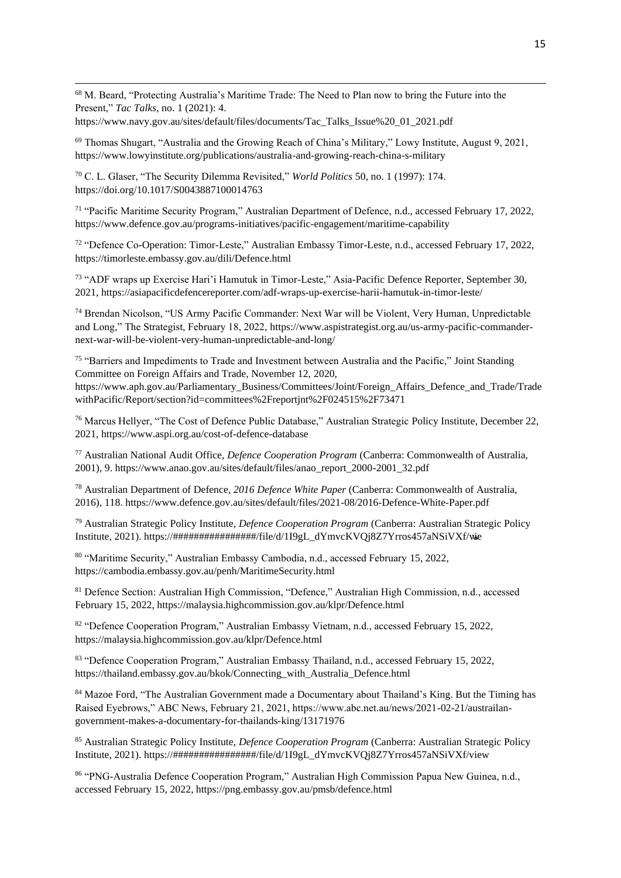<sup>68</sup> M. Beard, "Protecting Australia's Maritime Trade: The Need to Plan now to bring the Future into the Present," *Tac Talks*, no. 1 (2021): 4.

https://www.navy.gov.au/sites/default/files/documents/Tac\_Talks\_Issue%20\_01\_2021.pdf

<sup>69</sup> Thomas Shugart, "Australia and the Growing Reach of China's Military," Lowy Institute, August 9, 2021, https://www.lowyinstitute.org/publications/australia-and-growing-reach-china-s-military

<sup>70</sup> C. L. Glaser, "The Security Dilemma Revisited," *World Politics* 50, no. 1 (1997): 174. https://doi.org/10.1017/S0043887100014763

<sup>71</sup> "Pacific Maritime Security Program," Australian Department of Defence, n.d., accessed February 17, 2022, https://www.defence.gov.au/programs-initiatives/pacific-engagement/maritime-capability

<sup>72</sup> "Defence Co-Operation: Timor-Leste," Australian Embassy Timor-Leste, n.d., accessed February 17, 2022, https://timorleste.embassy.gov.au/dili/Defence.html

<sup>73</sup> "ADF wraps up Exercise Hari'i Hamutuk in Timor-Leste," Asia-Pacific Defence Reporter, September 30, 2021, https://asiapacificdefencereporter.com/adf-wraps-up-exercise-harii-hamutuk-in-timor-leste/

<sup>74</sup> Brendan Nicolson, "US Army Pacific Commander: Next War will be Violent, Very Human, Unpredictable and Long," The Strategist, February 18, 2022, https://www.aspistrategist.org.au/us-army-pacific-commandernext-war-will-be-violent-very-human-unpredictable-and-long/

<sup>75</sup> "Barriers and Impediments to Trade and Investment between Australia and the Pacific," Joint Standing Committee on Foreign Affairs and Trade, November 12, 2020, https://www.aph.gov.au/Parliamentary\_Business/Committees/Joint/Foreign\_Affairs\_Defence\_and\_Trade/Trade withPacific/Report/section?id=committees%2Freportjnt%2F024515%2F73471

<sup>76</sup> Marcus Hellyer, "The Cost of Defence Public Database," Australian Strategic Policy Institute, December 22, 2021, https://www.aspi.org.au/cost-of-defence-database

<sup>77</sup> Australian National Audit Office, *Defence Cooperation Program* (Canberra: Commonwealth of Australia, 2001), 9. https://www.anao.gov.au/sites/default/files/anao\_report\_2000-2001\_32.pdf

<sup>78</sup> Australian Department of Defence, *2016 Defence White Paper* (Canberra: Commonwealth of Australia, 2016), 118. https://www.defence.gov.au/sites/default/files/2021-08/2016-Defence-White-Paper.pdf

<sup>79</sup> Australian Strategic Policy Institute, *Defence Cooperation Program* (Canberra: Australian Strategic Policy Institute, 2021). https://################/file/d/1I9gL\_dYmvcKVQj8Z7Yrros457aNSiVXf/view

<sup>80</sup> "Maritime Security," Australian Embassy Cambodia, n.d., accessed February 15, 2022, https://cambodia.embassy.gov.au/penh/MaritimeSecurity.html

<sup>81</sup> Defence Section: Australian High Commission, "Defence," Australian High Commission, n.d., accessed February 15, 2022, https://malaysia.highcommission.gov.au/klpr/Defence.html

<sup>82</sup> "Defence Cooperation Program," Australian Embassy Vietnam, n.d., accessed February 15, 2022, https://malaysia.highcommission.gov.au/klpr/Defence.html

<sup>83</sup> "Defence Cooperation Program," Australian Embassy Thailand, n.d., accessed February 15, 2022, https://thailand.embassy.gov.au/bkok/Connecting\_with\_Australia\_Defence.html

<sup>84</sup> Mazoe Ford, "The Australian Government made a Documentary about Thailand's King. But the Timing has Raised Eyebrows," ABC News, February 21, 2021, https://www.abc.net.au/news/2021-02-21/austrailangovernment-makes-a-documentary-for-thailands-king/13171976

<sup>85</sup> Australian Strategic Policy Institute, *Defence Cooperation Program* (Canberra: Australian Strategic Policy Institute, 2021). https://################/file/d/1I9gL\_dYmvcKVQj8Z7Yrros457aNSiVXf/view

<sup>86</sup> "PNG-Australia Defence Cooperation Program," Australian High Commission Papua New Guinea, n.d., accessed February 15, 2022, https://png.embassy.gov.au/pmsb/defence.html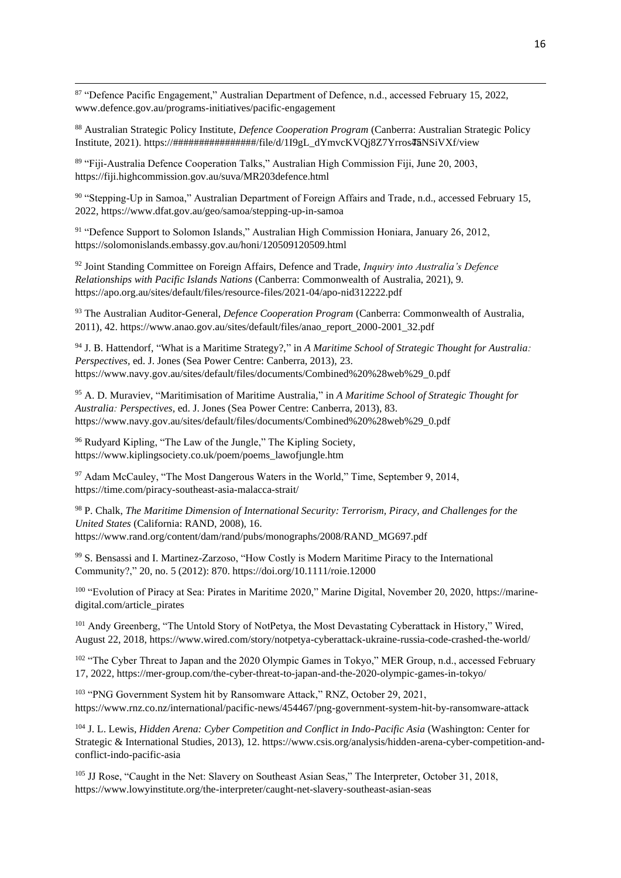<sup>87</sup> "Defence Pacific Engagement," Australian Department of Defence, n.d., accessed February 15, 2022, www.defence.gov.au/programs-initiatives/pacific-engagement

<sup>88</sup> Australian Strategic Policy Institute, *Defence Cooperation Program* (Canberra: Australian Strategic Policy Institute, 2021). https://################/file/d/1I9gL\_dYmvcKVQj8Z7Yrros457aNSiVXf/view

<sup>89</sup> "Fiji-Australia Defence Cooperation Talks," Australian High Commission Fiji, June 20, 2003, https://fiji.highcommission.gov.au/suva/MR203defence.html

90 "Stepping-Up in Samoa," Australian Department of Foreign Affairs and Trade, n.d., accessed February 15, 2022, https://www.dfat.gov.au/geo/samoa/stepping-up-in-samoa

<sup>91</sup> "Defence Support to Solomon Islands," Australian High Commission Honiara, January 26, 2012, https://solomonislands.embassy.gov.au/honi/120509120509.html

<sup>92</sup> Joint Standing Committee on Foreign Affairs, Defence and Trade, *Inquiry into Australia's Defence Relationships with Pacific Islands Nations* (Canberra: Commonwealth of Australia, 2021), 9. https://apo.org.au/sites/default/files/resource-files/2021-04/apo-nid312222.pdf

<sup>93</sup> The Australian Auditor-General, *Defence Cooperation Program* (Canberra: Commonwealth of Australia, 2011), 42. https://www.anao.gov.au/sites/default/files/anao\_report\_2000-2001\_32.pdf

<sup>94</sup> J. B. Hattendorf, "What is a Maritime Strategy?," in *A Maritime School of Strategic Thought for Australia: Perspectives,* ed. J. Jones (Sea Power Centre: Canberra, 2013), 23. https://www.navy.gov.au/sites/default/files/documents/Combined%20%28web%29\_0.pdf

<sup>95</sup> A. D. Muraviev, "Maritimisation of Maritime Australia," in *A Maritime School of Strategic Thought for Australia: Perspectives,* ed. J. Jones (Sea Power Centre: Canberra, 2013), 83. https://www.navy.gov.au/sites/default/files/documents/Combined%20%28web%29\_0.pdf

<sup>96</sup> Rudyard Kipling, "The Law of the Jungle," The Kipling Society, https://www.kiplingsociety.co.uk/poem/poems\_lawofjungle.htm

<sup>97</sup> Adam McCauley, "The Most Dangerous Waters in the World," Time, September 9, 2014, https://time.com/piracy-southeast-asia-malacca-strait/

<sup>98</sup> P. Chalk, *The Maritime Dimension of International Security: Terrorism, Piracy, and Challenges for the United States* (California: RAND, 2008), 16. https://www.rand.org/content/dam/rand/pubs/monographs/2008/RAND\_MG697.pdf

<sup>99</sup> S. Bensassi and I. Martinez-Zarzoso, "How Costly is Modern Maritime Piracy to the International Community?," 20, no. 5 (2012): 870. https://doi.org/10.1111/roie.12000

<sup>100</sup> "Evolution of Piracy at Sea: Pirates in Maritime 2020," Marine Digital, November 20, 2020, https://marinedigital.com/article\_pirates

<sup>101</sup> Andy Greenberg, "The Untold Story of NotPetya, the Most Devastating Cyberattack in History," Wired, August 22, 2018, https://www.wired.com/story/notpetya-cyberattack-ukraine-russia-code-crashed-the-world/

<sup>102</sup> "The Cyber Threat to Japan and the 2020 Olympic Games in Tokyo," MER Group, n.d., accessed February 17, 2022, https://mer-group.com/the-cyber-threat-to-japan-and-the-2020-olympic-games-in-tokyo/

<sup>103</sup> "PNG Government System hit by Ransomware Attack," RNZ, October 29, 2021, https://www.rnz.co.nz/international/pacific-news/454467/png-government-system-hit-by-ransomware-attack

<sup>104</sup> J. L. Lewis, *Hidden Arena: Cyber Competition and Conflict in Indo-Pacific Asia* (Washington: Center for Strategic & International Studies, 2013), 12. https://www.csis.org/analysis/hidden-arena-cyber-competition-andconflict-indo-pacific-asia

<sup>105</sup> JJ Rose, "Caught in the Net: Slavery on Southeast Asian Seas," The Interpreter, October 31, 2018, https://www.lowyinstitute.org/the-interpreter/caught-net-slavery-southeast-asian-seas